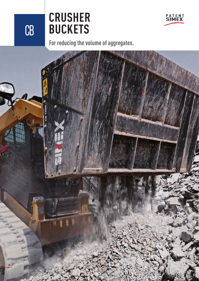CB

**30**

## **CRUSHER BUCKETS**

**For reducing the volume of aggregates.**

**P A T E N T SIMEX**